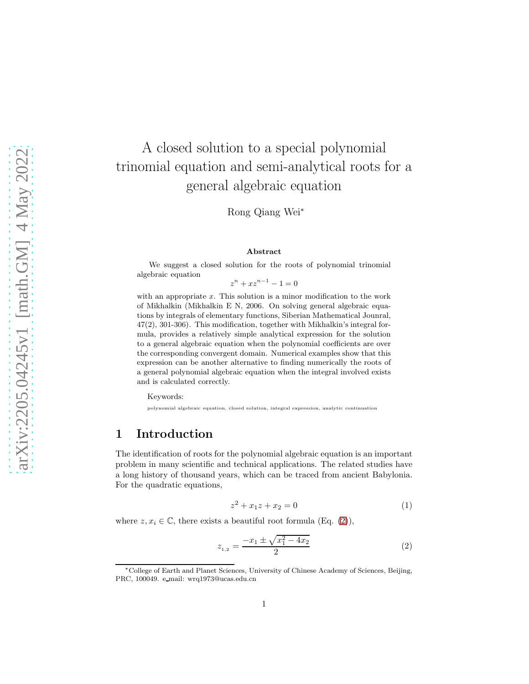# A closed solution to a special polynomial trinomial equation and semi-analytical roots for a general algebraic equation

Rong Qiang Wei<sup>∗</sup>

#### Abstract

We suggest a closed solution for the roots of polynomial trinomial algebraic equation

 $z^{n} + xz^{n-1} - 1 = 0$ 

with an appropriate  $x$ . This solution is a minor modification to the work of Mikhalkin (Mikhalkin E N, 2006. On solving general algebraic equations by integrals of elementary functions, Siberian Mathematical Jounral, 47(2), 301-306). This modification, together with Mikhalkin's integral formula, provides a relatively simple analytical expression for the solution to a general algebraic equation when the polynomial coefficients are over the corresponding convergent domain. Numerical examples show that this expression can be another alternative to finding numerically the roots of a general polynomial algebraic equation when the integral involved exists and is calculated correctly.

Keywords:

polynomial algebraic equation, closed solution, integral expression, analytic continuation

### 1 Introduction

The identification of roots for the polynomial algebraic equation is an important problem in many scientific and technical applications. The related studies have a long history of thousand years, which can be traced from ancient Babylonia. For the quadratic equations,

$$
z^2 + x_1 z + x_2 = 0 \tag{1}
$$

where  $z, x_i \in \mathbb{C}$ , there exists a beautiful root formula (Eq. [\(2\)](#page-0-0)),

<span id="page-0-0"></span>
$$
z_{1,2} = \frac{-x_1 \pm \sqrt{x_1^2 - 4x_2}}{2} \tag{2}
$$

<sup>∗</sup>College of Earth and Planet Sciences, University of Chinese Academy of Sciences, Beijing, PRC, 100049. e mail: wrq1973@ucas.edu.cn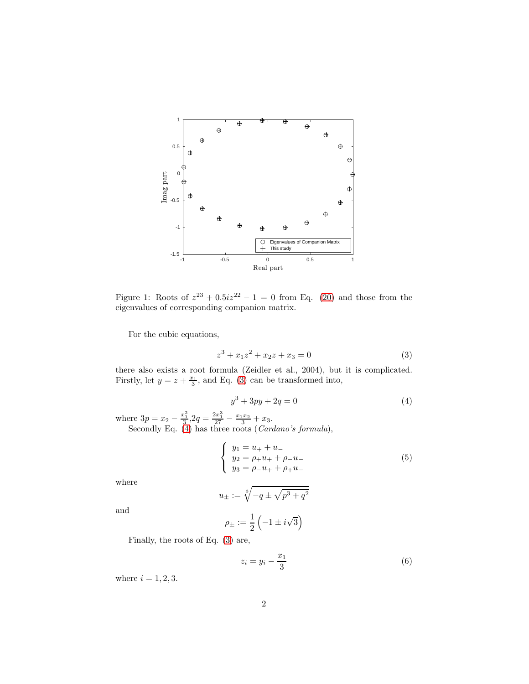

Figure 1: Roots of  $z^{23} + 0.5iz^{22} - 1 = 0$  from Eq. [\(20\)](#page-10-0) and those from the eigenvalues of corresponding companion matrix.

<span id="page-1-2"></span>For the cubic equations,

<span id="page-1-0"></span>
$$
z^3 + x_1 z^2 + x_2 z + x_3 = 0 \tag{3}
$$

there also exists a root formula (Zeidler et al., 2004), but it is complicated. Firstly, let  $y = z + \frac{x_1}{3}$ , and Eq. [\(3\)](#page-1-0) can be transformed into,

<span id="page-1-1"></span>
$$
y^3 + 3py + 2q = 0 \tag{4}
$$

where  $3p = x_2 - \frac{x_1^2}{3}$ ,  $2q = \frac{2x_1^3}{27} - \frac{x_1x_2}{3} + x_3$ . Secondly Eq.  $(4)$  has three roots  $(Cardano's formula)$ ,

$$
\begin{cases}\n y_1 = u_+ + u_- \\
 y_2 = \rho_+ u_+ + \rho_- u_- \\
 y_3 = \rho_- u_+ + \rho_+ u_- \n\end{cases} (5)
$$

where

$$
u_\pm:=\sqrt[3]{-q\pm\sqrt{p^3+q^2}}
$$

and

$$
\rho_{\pm} := \frac{1}{2} \left( -1 \pm i \sqrt{3} \right)
$$

Finally, the roots of Eq. [\(3\)](#page-1-0) are,

$$
z_i = y_i - \frac{x_1}{3} \tag{6}
$$

where  $i = 1, 2, 3$ .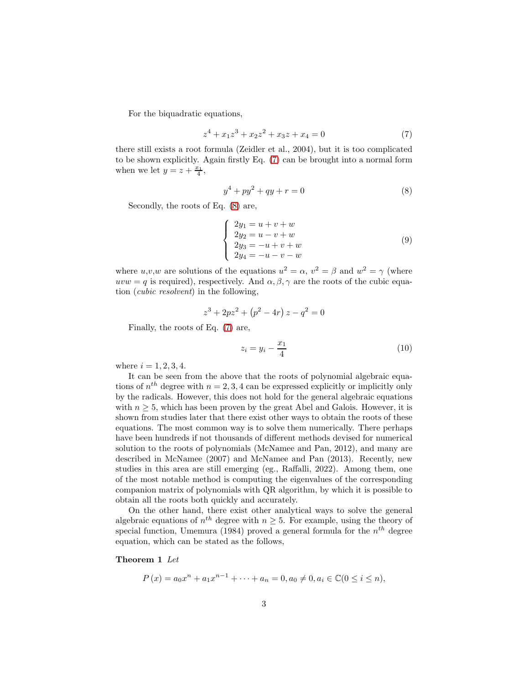For the biquadratic equations,

<span id="page-2-0"></span>
$$
z4 + x1z3 + x2z2 + x3z + x4 = 0
$$
 (7)

there still exists a root formula (Zeidler et al., 2004), but it is too complicated to be shown explicitly. Again firstly Eq. [\(7\)](#page-2-0) can be brought into a normal form when we let  $y = z + \frac{x_1}{4}$ ,

<span id="page-2-1"></span>
$$
y^4 + py^2 + qy + r = 0 \tag{8}
$$

Secondly, the roots of Eq. [\(8\)](#page-2-1) are,

$$
\begin{cases}\n2y_1 = u + v + w \\
2y_2 = u - v + w \\
2y_3 = -u + v + w \\
2y_4 = -u - v - w\n\end{cases}
$$
\n(9)

where  $u, v, w$  are solutions of the equations  $u^2 = \alpha, v^2 = \beta$  and  $w^2 = \gamma$  (where uvw = q is required), respectively. And  $\alpha, \beta, \gamma$  are the roots of the cubic equation (cubic resolvent) in the following,

$$
z^3 + 2pz^2 + (p^2 - 4r) z - q^2 = 0
$$

Finally, the roots of Eq. [\(7\)](#page-2-0) are,

$$
z_i = y_i - \frac{x_1}{4} \tag{10}
$$

where  $i = 1, 2, 3, 4$ .

It can be seen from the above that the roots of polynomial algebraic equations of  $n^{th}$  degree with  $n = 2, 3, 4$  can be expressed explicitly or implicitly only by the radicals. However, this does not hold for the general algebraic equations with  $n \geq 5$ , which has been proven by the great Abel and Galois. However, it is shown from studies later that there exist other ways to obtain the roots of these equations. The most common way is to solve them numerically. There perhaps have been hundreds if not thousands of different methods devised for numerical solution to the roots of polynomials (McNamee and Pan, 2012), and many are described in McNamee (2007) and McNamee and Pan (2013). Recently, new studies in this area are still emerging (eg., Raffalli, 2022). Among them, one of the most notable method is computing the eigenvalues of the corresponding companion matrix of polynomials with QR algorithm, by which it is possible to obtain all the roots both quickly and accurately.

On the other hand, there exist other analytical ways to solve the general algebraic equations of  $n^{th}$  degree with  $n \geq 5$ . For example, using the theory of special function, Umemura (1984) proved a general formula for the  $n<sup>th</sup>$  degree equation, which can be stated as the follows,

#### <span id="page-2-2"></span>Theorem 1 Let

$$
P(x) = a_0 x^n + a_1 x^{n-1} + \dots + a_n = 0, a_0 \neq 0, a_i \in \mathbb{C} (0 \leq i \leq n),
$$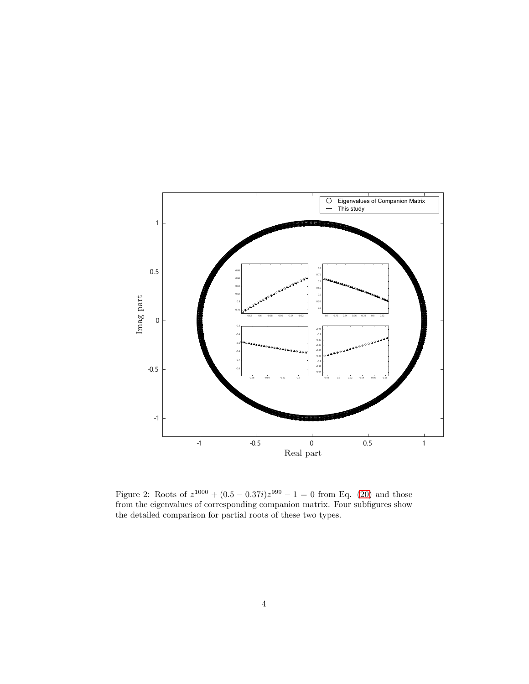

Figure 2: Roots of  $z^{1000} + (0.5 - 0.37i)z^{999} - 1 = 0$  from Eq. [\(20\)](#page-10-0) and those from the eigenvalues of corresponding companion matrix. Four subfigures show the detailed comparison for partial roots of these two types.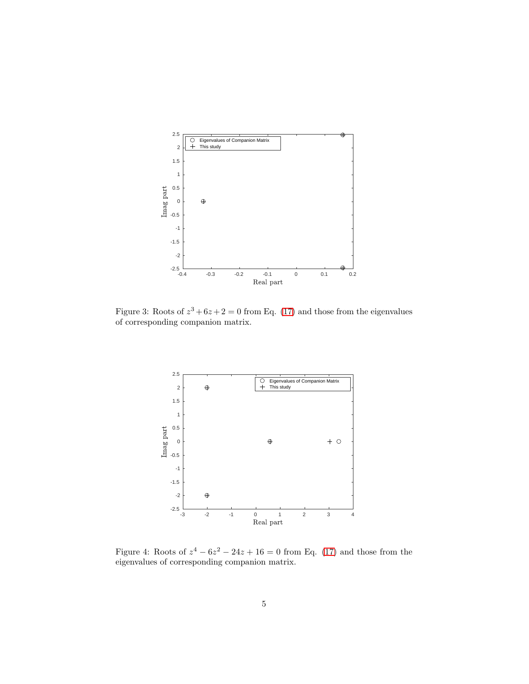

Figure 3: Roots of  $z^3 + 6z + 2 = 0$  from Eq. [\(17\)](#page-7-0) and those from the eigenvalues of corresponding companion matrix.



<span id="page-4-0"></span>Figure 4: Roots of  $z^4 - 6z^2 - 24z + 16 = 0$  from Eq. [\(17\)](#page-7-0) and those from the eigenvalues of corresponding companion matrix.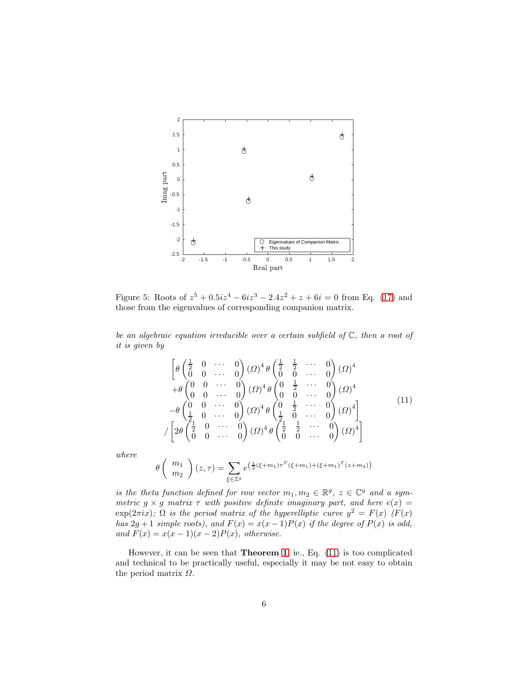

<span id="page-5-1"></span>Figure 5: Roots of  $z^5 + 0.5iz^4 - 6iz^3 - 2.4z^2 + z + 6i = 0$  from Eq. [\(17\)](#page-7-0) and those from the eigenvalues of corresponding companion matrix.

be an algebraic equation irreducible over a certain subfield of  $\mathbb{C}$ , then a root of it is given by

<span id="page-5-0"></span>
$$
\begin{bmatrix}\n\theta \begin{pmatrix} \frac{1}{2} & 0 & \cdots & 0 \\ 0 & 0 & \cdots & 0 \end{pmatrix} (\Omega)^4 \theta \begin{pmatrix} \frac{1}{2} & \frac{1}{2} & \cdots & 0 \\ 0 & 0 & \cdots & 0 \end{pmatrix} (\Omega)^4 \\
+ \theta \begin{pmatrix} 0 & 0 & \cdots & 0 \\ 0 & 0 & \cdots & 0 \end{pmatrix} (\Omega)^4 \theta \begin{pmatrix} 0 & \frac{1}{2} & \cdots & 0 \\ 0 & 0 & \cdots & 0 \end{pmatrix} (\Omega)^4 \\
- \theta \begin{pmatrix} 0 & 0 & \cdots & 0 \\ \frac{1}{2} & 0 & \cdots & 0 \end{pmatrix} (\Omega)^4 \theta \begin{pmatrix} 0 & \frac{1}{2} & \cdots & 0 \\ \frac{1}{2} & 0 & \cdots & 0 \end{pmatrix} (\Omega)^4 \\
\begin{bmatrix}\n2\theta \begin{pmatrix} \frac{1}{2} & 0 & \cdots & 0 \\ 0 & 0 & \cdots & 0 \end{pmatrix} (\Omega)^4 \theta \begin{pmatrix} \frac{1}{2} & \frac{1}{2} & \cdots & 0 \\ 0 & 0 & \cdots & 0 \end{pmatrix} (\Omega)^4\n\end{bmatrix}
$$
\n(11)

where

$$
\theta\left(\begin{array}{c}m_1\\m_2\end{array}\right)(z,\tau) = \sum_{\xi \in \mathbb{Z}^g} e^{\left(\frac{1}{2}(\xi+m_1)\tau^T(\xi+m_1) + (\xi+m_1)^T(z+m_2)\right)}
$$

is the theta function defined for row vector  $m_1, m_2 \in \mathbb{R}^g$ ,  $z \in \mathbb{C}^g$  and a symmetric  $g \times g$  matrix  $\tau$  with positive definite imaginary part, and here  $e(x) =$  $\exp(2\pi i x)$ ;  $\Omega$  is the period matrix of the hyperelliptic curve  $y^2 = F(x)$  (F(x) has  $2g + 1$  simple roots), and  $F(x) = x(x - 1)P(x)$  if the degree of  $P(x)$  is odd, and  $F(x) = x(x-1)(x-2)P(x)$ , otherwise.

However, it can be seen that Theorem [1](#page-2-2), ie., Eq. [\(11\)](#page-5-0) is too complicated and technical to be practically useful, especially it may be not easy to obtain the period matrix  $\Omega$ .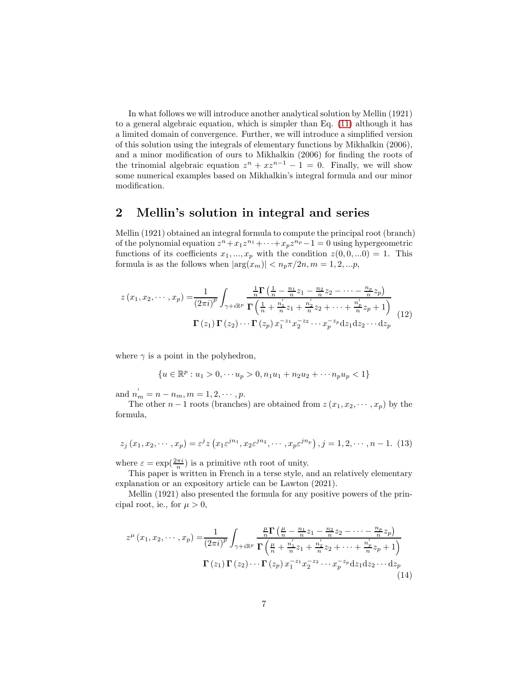In what follows we will introduce another analytical solution by Mellin (1921) to a general algebraic equation, which is simpler than Eq. [\(11\)](#page-5-0) although it has a limited domain of convergence. Further, we will introduce a simplified version of this solution using the integrals of elementary functions by Mikhalkin (2006), and a minor modification of ours to Mikhalkin (2006) for finding the roots of the trinomial algebraic equation  $z^n + xz^{n-1} - 1 = 0$ . Finally, we will show some numerical examples based on Mikhalkin's integral formula and our minor modification.

#### 2 Mellin's solution in integral and series

Mellin (1921) obtained an integral formula to compute the principal root (branch) of the polynomial equation  $z^n + x_1 z^{n_1} + \cdots + x_p z^{n_p} - 1 = 0$  using hypergeometric functions of its coefficients  $x_1, ..., x_p$  with the condition  $z(0, 0, ...0) = 1$ . This formula is as the follows when  $|\arg(x_m)| < n_p \pi/2n, m = 1, 2, ...p$ ,

$$
z(x_1, x_2, \cdots, x_p) = \frac{1}{(2\pi i)^p} \int_{\gamma + i\mathbb{R}^p} \frac{\frac{1}{n}\Gamma\left(\frac{1}{n} - \frac{n_1}{n}z_1 - \frac{n_2}{n}z_2 - \cdots - \frac{n_p}{n}z_p\right)}{\Gamma\left(\frac{1}{n} + \frac{n_1'}{n}z_1 + \frac{n_2'}{n}z_2 + \cdots + \frac{n_p'}{n}z_p + 1\right)}
$$

$$
\Gamma(z_1)\Gamma(z_2)\cdots\Gamma(z_p)\,x_1^{-z_1}x_2^{-z_2}\cdots x_p^{-z_p}\mathrm{d}z_1\mathrm{d}z_2\cdots\mathrm{d}z_p
$$
(12)

where  $\gamma$  is a point in the polyhedron,

<span id="page-6-0"></span>
$$
\{u \in \mathbb{R}^p : u_1 > 0, \cdots u_p > 0, n_1u_1 + n_2u_2 + \cdots n_pu_p < 1\}
$$

and  $n'_m = n - n_m, m = 1, 2, \cdots, p.$ 

The other  $n-1$  roots (branches) are obtained from  $z(x_1, x_2, \dots, x_n)$  by the formula,

<span id="page-6-1"></span>
$$
z_j(x_1, x_2, \cdots, x_p) = \varepsilon^j z(x_1 \varepsilon^{jn_1}, x_2 \varepsilon^{jn_2}, \cdots, x_p \varepsilon^{jn_p}), j = 1, 2, \cdots, n - 1.
$$
 (13)

where  $\varepsilon = \exp(\frac{2\pi i}{n})$  is a primitive *n*th root of unity.

This paper is written in French in a terse style, and an relatively elementary explanation or an expository article can be Lawton (2021).

Mellin (1921) also presented the formula for any positive powers of the principal root, ie., for  $\mu > 0$ ,

$$
z^{\mu}(x_1, x_2, \cdots, x_p) = \frac{1}{(2\pi i)^p} \int_{\gamma + i\mathbb{R}^p} \frac{\frac{\mu}{n} \Gamma\left(\frac{\mu}{n} - \frac{n_1}{n} z_1 - \frac{n_2}{n} z_2 - \cdots - \frac{n_p}{n} z_p\right)}{\Gamma\left(\frac{\mu}{n} + \frac{n_1'}{n} z_1 + \frac{n_2'}{n} z_2 + \cdots + \frac{n_p'}{n} z_p + 1\right)}
$$

$$
\Gamma(z_1) \Gamma(z_2) \cdots \Gamma(z_p) x_1^{-z_1} x_2^{-z_2} \cdots x_p^{-z_p} \mathrm{d}z_1 \mathrm{d}z_2 \cdots \mathrm{d}z_p \tag{14}
$$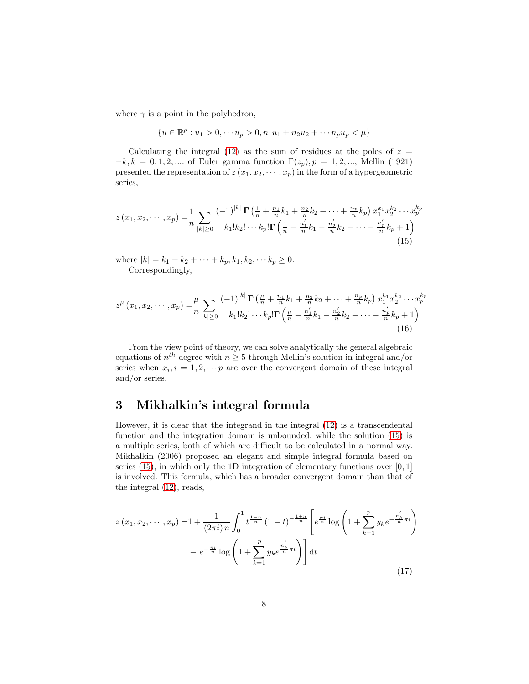where  $\gamma$  is a point in the polyhedron,

<span id="page-7-1"></span>
$$
\{u \in \mathbb{R}^p : u_1 > 0, \dots u_p > 0, n_1 u_1 + n_2 u_2 + \dots + n_p u_p < \mu\}
$$

Calculating the integral [\(12\)](#page-6-0) as the sum of residues at the poles of  $z =$  $-k, k = 0, 1, 2, \dots$  of Euler gamma function  $\Gamma(z_p), p = 1, 2, \dots$ , Mellin (1921) presented the representation of  $z(x_1, x_2, \dots, x_p)$  in the form of a hypergeometric series,

$$
z(x_1, x_2, \cdots, x_p) = \frac{1}{n} \sum_{|k| \ge 0} \frac{(-1)^{|k|} \Gamma\left(\frac{1}{n} + \frac{n_1}{n}k_1 + \frac{n_2}{n}k_2 + \cdots + \frac{n_p}{n}k_p\right) x_1^{k_1} x_2^{k_2} \cdots x_p^{k_p}}{k_1! k_2! \cdots k_p! \Gamma\left(\frac{1}{n} - \frac{n'_1}{n}k_1 - \frac{n'_2}{n}k_2 - \cdots - \frac{n'_p}{n}k_p + 1\right)}
$$
\n(15)

where  $|k| = k_1 + k_2 + \cdots + k_p; k_1, k_2, \cdots k_p \ge 0.$ Correspondingly,

<span id="page-7-2"></span>
$$
z^{\mu}(x_1, x_2, \cdots, x_p) = \frac{\mu}{n} \sum_{|k| \ge 0} \frac{(-1)^{|k|} \Gamma\left(\frac{\mu}{n} + \frac{n_1}{n}k_1 + \frac{n_2}{n}k_2 + \cdots + \frac{n_p}{n}k_p\right) x_1^{k_1} x_2^{k_2} \cdots x_p^{k_p}}{k_1! k_2! \cdots k_p! \Gamma\left(\frac{\mu}{n} - \frac{n'_1}{n}k_1 - \frac{n'_2}{n}k_2 - \cdots - \frac{n'_p}{n}k_p + 1\right)}
$$
(16)

From the view point of theory, we can solve analytically the general algebraic equations of  $n^{th}$  degree with  $n \geq 5$  through Mellin's solution in integral and/or series when  $x_i, i = 1, 2, \cdots p$  are over the convergent domain of these integral and/or series.

### 3 Mikhalkin's integral formula

However, it is clear that the integrand in the integral [\(12\)](#page-6-0) is a transcendental function and the integration domain is unbounded, while the solution [\(15\)](#page-7-1) is a multiple series, both of which are difficult to be calculated in a normal way. Mikhalkin (2006) proposed an elegant and simple integral formula based on series [\(15\)](#page-7-1), in which only the 1D integration of elementary functions over  $[0, 1]$ is involved. This formula, which has a broader convergent domain than that of the integral [\(12\)](#page-6-0), reads,

<span id="page-7-0"></span>
$$
z(x_1, x_2, \dots, x_p) = 1 + \frac{1}{(2\pi i) n} \int_0^1 t^{\frac{1-n}{n}} (1-t)^{-\frac{1+n}{n}} \left[ e^{\frac{\pi i}{n}} \log \left( 1 + \sum_{k=1}^p y_k e^{-\frac{n'_k}{n}\pi i} \right) \right] dt
$$
  
- 
$$
e^{-\frac{\pi i}{n}} \log \left( 1 + \sum_{k=1}^p y_k e^{\frac{n'_k}{n}\pi i} \right) dt
$$
 (17)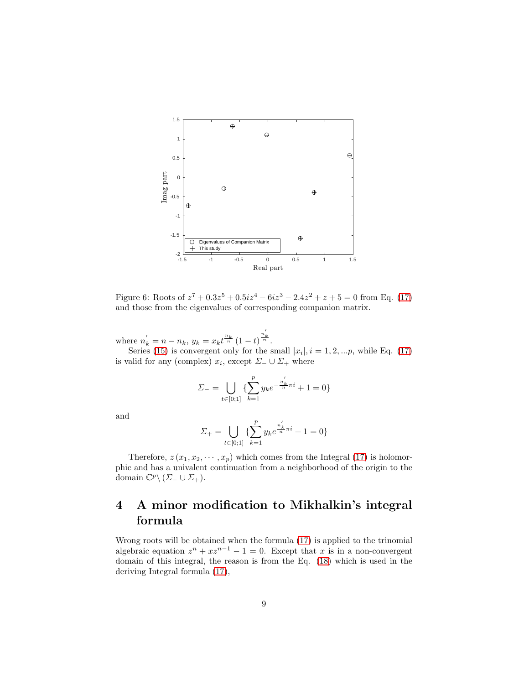

Figure 6: Roots of  $z^7 + 0.3z^5 + 0.5iz^4 - 6iz^3 - 2.4z^2 + z + 5 = 0$  from Eq. [\(17\)](#page-7-0) and those from the eigenvalues of corresponding companion matrix.

where  $n'_{k} = n - n_{k}, y_{k} = x_{k} t^{\frac{n_{k}}{n}} (1 - t)^{\frac{n'_{k}}{n}}$ .

Series [\(15\)](#page-7-1) is convergent only for the small  $|x_i|, i = 1, 2, \ldots p$ , while Eq. [\(17\)](#page-7-0) is valid for any (complex)  $x_i$ , except  $\Sigma_-\cup \Sigma_+$  where

$$
\Sigma_{-} = \bigcup_{t \in [0;1]} \{ \sum_{k=1}^{p} y_k e^{-\frac{n'_k}{n}\pi i} + 1 = 0 \}
$$

and

$$
\varSigma_+=\bigcup_{t\in[0;1]}\{\sum_{k=1}^p y_ke^{\frac{n_k^{'}}{n}\pi i}+1=0\}
$$

Therefore,  $z(x_1, x_2, \dots, x_p)$  which comes from the Integral [\(17\)](#page-7-0) is holomorphic and has a univalent continuation from a neighborhood of the origin to the domain  $\mathbb{C}^p \setminus (\Sigma_- \cup \Sigma_+).$ 

## 4 A minor modification to Mikhalkin's integral formula

Wrong roots will be obtained when the formula [\(17\)](#page-7-0) is applied to the trinomial algebraic equation  $z^n + xz^{n-1} - 1 = 0$ . Except that x is in a non-convergent domain of this integral, the reason is from the Eq. [\(18\)](#page-10-1) which is used in the deriving Integral formula [\(17\)](#page-7-0),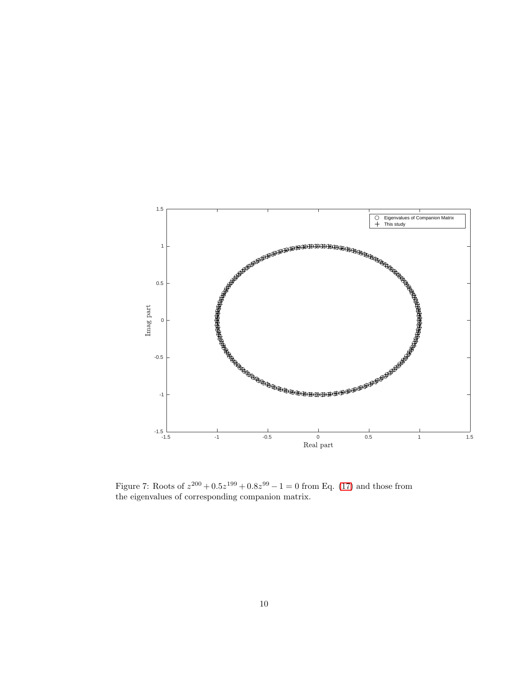

<span id="page-9-0"></span>Figure 7: Roots of  $z^{200} + 0.5z^{199} + 0.8z^{99} - 1 = 0$  from Eq. [\(17\)](#page-7-0) and those from the eigenvalues of corresponding companion matrix.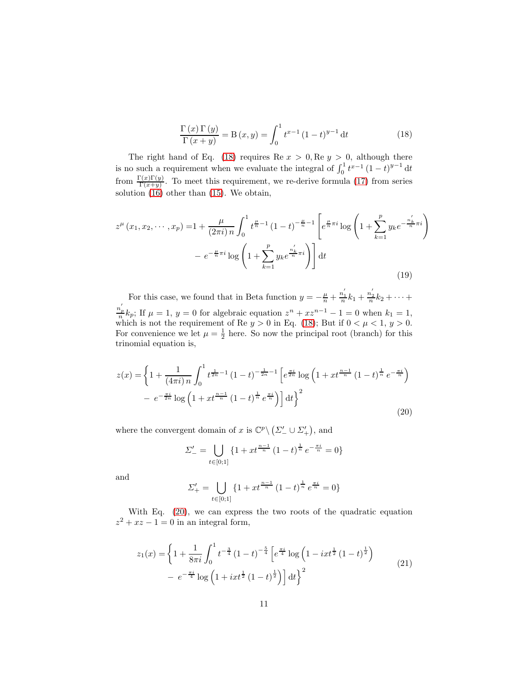<span id="page-10-1"></span>
$$
\frac{\Gamma(x)\Gamma(y)}{\Gamma(x+y)} = \mathcal{B}(x,y) = \int_0^1 t^{x-1} (1-t)^{y-1} dt
$$
\n(18)

The right hand of Eq. [\(18\)](#page-10-1) requires Re  $x > 0$ , Re  $y > 0$ , although there is no such a requirement when we evaluate the integral of  $\int_0^1 t^{x-1} (1-t)^{y-1} dt$ from  $\frac{\Gamma(x)\Gamma(y)}{\Gamma(x+y)}$ . To meet this requirement, we re-derive formula [\(17\)](#page-7-0) from series solution [\(16\)](#page-7-2) other than [\(15\)](#page-7-1). We obtain,

$$
z^{\mu}(x_1, x_2, \cdots, x_p) = 1 + \frac{\mu}{(2\pi i) n} \int_0^1 t^{\frac{\mu}{n} - 1} (1 - t)^{-\frac{\mu}{n} - 1} \left[ e^{\frac{\mu}{n}\pi i} \log \left( 1 + \sum_{k=1}^p y_k e^{-\frac{n'_k}{n}\pi i} \right) \right] dt
$$

$$
- e^{-\frac{\mu}{n}\pi i} \log \left( 1 + \sum_{k=1}^p y_k e^{\frac{n'_k}{n}\pi i} \right) \right] dt
$$
(19)

For this case, we found that in Beta function  $y = -\frac{\mu}{n} + \frac{n'_1}{n}$  $\frac{n_1'}{n}k_1 + \frac{n_2'}{n}$  $\frac{n_2}{n}k_2 + \cdots +$  $n'$  $\frac{h_p}{n}k_p$ ; If  $\mu = 1$ ,  $y = 0$  for algebraic equation  $z^n + xz^{n-1} - 1 = 0$  when  $k_1 = 1$ , which is not the requirement of Re  $y > 0$  in Eq. [\(18\)](#page-10-1); But if  $0 < \mu < 1$ ,  $y > 0$ . For convenience we let  $\mu = \frac{1}{2}$  here. So now the principal root (branch) for this trinomial equation is,

$$
z(x) = \left\{ 1 + \frac{1}{(4\pi i)n} \int_0^1 t^{\frac{1}{2n} - 1} (1 - t)^{-\frac{1}{2n} - 1} \left[ e^{\frac{\pi i}{2n}} \log \left( 1 + x t^{\frac{n-1}{n}} (1 - t)^{\frac{1}{n}} e^{-\frac{\pi i}{n}} \right) \right] - e^{-\frac{\pi i}{2n}} \log \left( 1 + x t^{\frac{n-1}{n}} (1 - t)^{\frac{1}{n}} e^{\frac{\pi i}{n}} \right) \right] dt \right\}^2
$$
(20)

where the convergent domain of x is  $\mathbb{C}^p \setminus (\Sigma'_{-} \cup \Sigma'_{+}),$  and

<span id="page-10-0"></span>
$$
\Sigma'_{-} = \bigcup_{t \in [0;1]} \left\{ 1 + xt^{\frac{n-1}{n}} \left( 1 - t \right)^{\frac{1}{n}} e^{-\frac{\pi i}{n}} = 0 \right\}
$$

and

<span id="page-10-2"></span>
$$
\Sigma'_{+} = \bigcup_{t \in [0;1]} \{1 + xt^{\frac{n-1}{n}} (1-t)^{\frac{1}{n}} e^{\frac{\pi i}{n}} = 0\}
$$

With Eq. [\(20\)](#page-10-0), we can express the two roots of the quadratic equation  $z^2 + xz - 1 = 0$  in an integral form,

$$
z_1(x) = \left\{ 1 + \frac{1}{8\pi i} \int_0^1 t^{-\frac{3}{4}} (1-t)^{-\frac{5}{4}} \left[ e^{\frac{\pi i}{4}} \log \left( 1 - ixt^{\frac{1}{2}} (1-t)^{\frac{1}{2}} \right) - e^{-\frac{\pi i}{4}} \log \left( 1 + ixt^{\frac{1}{2}} (1-t)^{\frac{1}{2}} \right) \right] dt \right\}^2
$$
(21)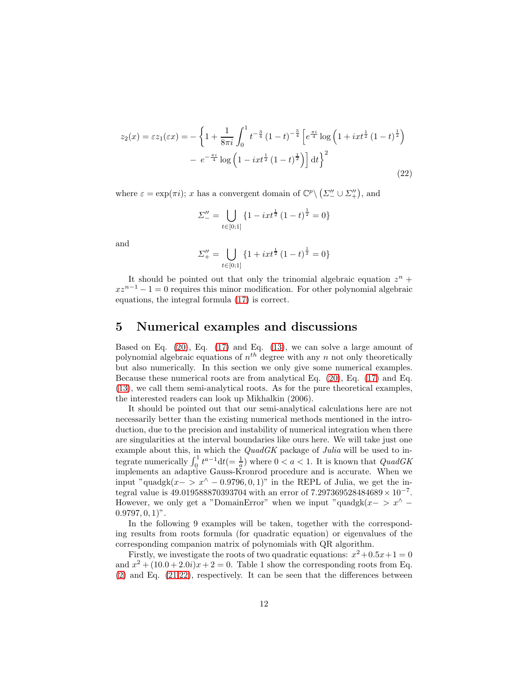$$
z_2(x) = \varepsilon z_1(\varepsilon x) = -\left\{1 + \frac{1}{8\pi i} \int_0^1 t^{-\frac{3}{4}} (1-t)^{-\frac{5}{4}} \left[e^{\frac{\pi i}{4}} \log \left(1 + ixt^{\frac{1}{2}} (1-t)^{\frac{1}{2}}\right)\right] - e^{-\frac{\pi i}{4}} \log \left(1 - ixt^{\frac{1}{2}} (1-t)^{\frac{1}{2}}\right)\right] dt\right\}^2
$$
(22)

where  $\varepsilon = \exp(\pi i)$ ; x has a convergent domain of  $\mathbb{C}^p \setminus (\Sigma''_- \cup \Sigma''_+)$ , and

<span id="page-11-0"></span>
$$
\varSigma_{-}'' = \bigcup_{t \in [0,1]} \{1 - ixt^{\frac{1}{2}} (1-t)^{\frac{1}{2}} = 0\}
$$

and

$$
\Sigma_{+}^{"'} = \bigcup_{t \in [0;1]} \{1 + ixt^{\frac{1}{2}} (1-t)^{\frac{1}{2}} = 0\}
$$

It should be pointed out that only the trinomial algebraic equation  $z^n$  +  $xz^{n-1} - 1 = 0$  requires this minor modification. For other polynomial algebraic equations, the integral formula [\(17\)](#page-7-0) is correct.

#### 5 Numerical examples and discussions

Based on Eq.  $(20)$ , Eq.  $(17)$  and Eq.  $(13)$ , we can solve a large amount of polynomial algebraic equations of  $n<sup>th</sup>$  degree with any n not only theoretically but also numerically. In this section we only give some numerical examples. Because these numerical roots are from analytical Eq. [\(20\)](#page-10-0), Eq. [\(17\)](#page-7-0) and Eq. [\(13\)](#page-6-1), we call them semi-analytical roots. As for the pure theoretical examples, the interested readers can look up Mikhalkin (2006).

It should be pointed out that our semi-analytical calculations here are not necessarily better than the existing numerical methods mentioned in the introduction, due to the precision and instability of numerical integration when there are singularities at the interval boundaries like ours here. We will take just one example about this, in which the  $QuadGK$  package of Julia will be used to integrate numerically  $\int_0^1 t^{a-1} dt (= \frac{1}{a})$  where  $0 < a < 1$ . It is known that  $QuadGK$ implements an adaptive Gauss-Kronrod procedure and is accurate. When we input "quadgk( $x-> x^{\wedge} -0.9796, 0, 1$ " in the REPL of Julia, we get the integral value is  $49.019588870393704$  with an error of 7.297369528484689 × 10<sup>-7</sup>. However, we only get a "DomainError" when we input "quadgk $(x-> x^{\wedge} 0.9797, 0, 1$ ".

In the following 9 examples will be taken, together with the corresponding results from roots formula (for quadratic equation) or eigenvalues of the corresponding companion matrix of polynomials with QR algorithm.

Firstly, we investigate the roots of two quadratic equations:  $x^2 + 0.5x + 1 = 0$ and  $x^2 + (10.0 + 2.0i)x + 2 = 0$ . Table 1 show the corresponding roots from Eq. [\(2\)](#page-0-0) and Eq. [\(21,](#page-10-2)[22\)](#page-11-0), respectively. It can be seen that the differences between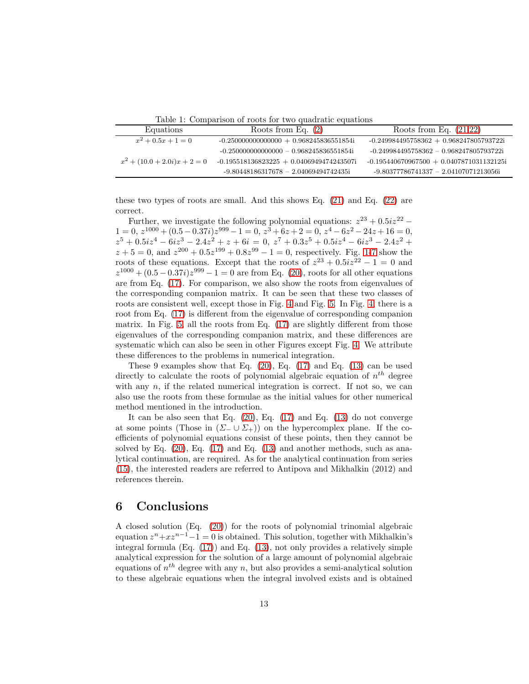Table 1: Comparison of roots for two quadratic equations

| Equations                      | Roots from Eq. $(2)$                       | Roots from Eq. $(21,22)$                   |
|--------------------------------|--------------------------------------------|--------------------------------------------|
| $x^2 + 0.5x + 1 = 0$           | $-0.250000000000000 + 0.968245836551854i$  | $-0.249984495758362 + 0.968247805793722i$  |
|                                | $-0.2500000000000000 = 0.968245836551854$  | $-0.249984495758362 - 0.968247805793722i$  |
| $x^2 + (10.0 + 2.0i)x + 2 = 0$ | $-0.195518136823225 + 0.0406949474243507i$ | $-0.195440670967500 + 0.0407871031132125i$ |
|                                | $-9.80448186317678 - 2.04069494742435$ i   | $-9.80377786741337 - 2.04107071213056$ i   |

these two types of roots are small. And this shows Eq. [\(21\)](#page-10-2) and Eq. [\(22\)](#page-11-0) are correct.

Further, we investigate the following polynomial equations:  $z^{23} + 0.5iz^{22} - 1000$  $1 = 0, z^{1000} + (0.5 - 0.37i)z^{999} - 1 = 0, z^3 + 6z + 2 = 0, z^4 - 6z^2 - 24z + 16 = 0,$  $z^5 + 0.5iz^4 - 6iz^3 - 2.4z^2 + z + 6i = 0, z^7 + 0.3z^5 + 0.5iz^4 - 6iz^3 - 2.4z^2 +$  $z + 5 = 0$ , and  $z^{200} + 0.5z^{199} + 0.8z^{99} - 1 = 0$  $z^{200} + 0.5z^{199} + 0.8z^{99} - 1 = 0$  $z^{200} + 0.5z^{199} + 0.8z^{99} - 1 = 0$ , respectively. Fig. 1[-7](#page-9-0) show the roots of these equations. Except that the roots of  $z^{23} + 0.5iz^{22} - 1 = 0$  and  $z^{1000} + (0.5 - 0.37i)z^{999} - 1 = 0$  are from Eq. [\(20\)](#page-10-0), roots for all other equations are from Eq. [\(17\)](#page-7-0). For comparison, we also show the roots from eigenvalues of the corresponding companion matrix. It can be seen that these two classes of roots are consistent well, except those in Fig. [4](#page-4-0) and Fig. [5.](#page-5-1) In Fig. [4,](#page-4-0) there is a root from Eq. [\(17\)](#page-7-0) is different from the eigenvalue of corresponding companion matrix. In Fig. [5,](#page-5-1) all the roots from Eq. [\(17\)](#page-7-0) are slightly different from those eigenvalues of the corresponding companion matrix, and these differences are systematic which can also be seen in other Figures except Fig. [4.](#page-4-0) We attribute these differences to the problems in numerical integration.

These 9 examples show that Eq.  $(20)$ , Eq.  $(17)$  and Eq.  $(13)$  can be used directly to calculate the roots of polynomial algebraic equation of  $n^{th}$  degree with any  $n$ , if the related numerical integration is correct. If not so, we can also use the roots from these formulae as the initial values for other numerical method mentioned in the introduction.

It can be also seen that Eq.  $(20)$ , Eq.  $(17)$  and Eq.  $(13)$  do not converge at some points (Those in  $(\Sigma_-\cup\Sigma_+)$ ) on the hypercomplex plane. If the coefficients of polynomial equations consist of these points, then they cannot be solved by Eq. [\(20\)](#page-10-0), Eq. [\(17\)](#page-7-0) and Eq. [\(13\)](#page-6-1) and another methods, such as analytical continuation, are required. As for the analytical continuation from series [\(15\)](#page-7-1), the interested readers are referred to Antipova and Mikhalkin (2012) and references therein.

#### 6 Conclusions

A closed solution (Eq. [\(20\)](#page-10-0)) for the roots of polynomial trinomial algebraic equation  $z^{n}+xz^{n-1}-1=0$  is obtained. This solution, together with Mikhalkin's integral formula  $(Eq. (17))$  $(Eq. (17))$  $(Eq. (17))$  and  $Eq. (13)$  $Eq. (13)$ , not only provides a relatively simple analytical expression for the solution of a large amount of polynomial algebraic equations of  $n<sup>th</sup>$  degree with any n, but also provides a semi-analytical solution to these algebraic equations when the integral involved exists and is obtained